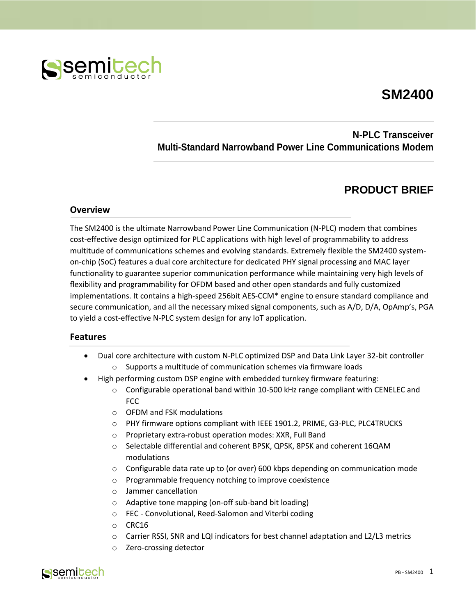# **SM2400**



## **N-PLC Transceiver Multi-Standard Narrowband Power Line Communications Modem**

## **PRODUCT BRIEF**

### **Overview**

The SM2400 is the ultimate Narrowband Power Line Communication (N-PLC) modem that combines cost-effective design optimized for PLC applications with high level of programmability to address multitude of communications schemes and evolving standards. Extremely flexible the SM2400 systemon-chip (SoC) features a dual core architecture for dedicated PHY signal processing and MAC layer functionality to guarantee superior communication performance while maintaining very high levels of flexibility and programmability for OFDM based and other open standards and fully customized implementations. It contains a high-speed 256bit AES-CCM\* engine to ensure standard compliance and secure communication, and all the necessary mixed signal components, such as A/D, D/A, OpAmp's, PGA to yield a cost-effective N-PLC system design for any IoT application.

#### **Features**

- Dual core architecture with custom N-PLC optimized DSP and Data Link Layer 32-bit controller o Supports a multitude of communication schemes via firmware loads
- High performing custom DSP engine with embedded turnkey firmware featuring:
	- $\circ$  Configurable operational band within 10-500 kHz range compliant with CENELEC and FCC
	- o OFDM and FSK modulations
	- o PHY firmware options compliant with IEEE 1901.2, PRIME, G3-PLC, PLC4TRUCKS
	- o Proprietary extra-robust operation modes: XXR, Full Band
	- o Selectable differential and coherent BPSK, QPSK, 8PSK and coherent 16QAM modulations
	- $\circ$  Configurable data rate up to (or over) 600 kbps depending on communication mode
	- o Programmable frequency notching to improve coexistence
	- o Jammer cancellation
	- o Adaptive tone mapping (on-off sub-band bit loading)
	- o FEC Convolutional, Reed-Salomon and Viterbi coding
	- o CRC16
	- $\circ$  Carrier RSSI, SNR and LQI indicators for best channel adaptation and L2/L3 metrics
	- o Zero-crossing detector

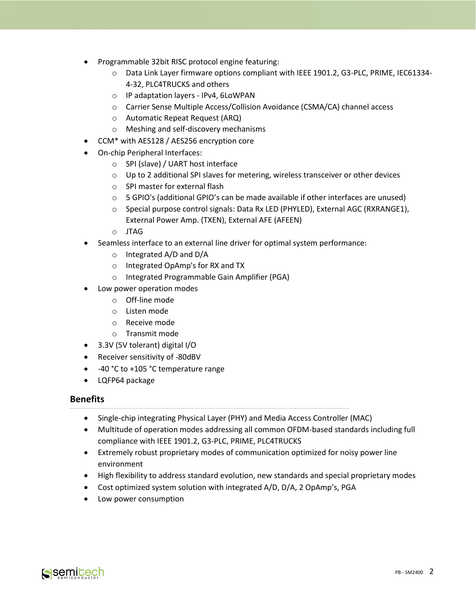- Programmable 32bit RISC protocol engine featuring:
	- o Data Link Layer firmware options compliant with IEEE 1901.2, G3-PLC, PRIME, IEC61334- 4-32, PLC4TRUCKS and others
	- o IP adaptation layers IPv4, 6LoWPAN
	- o Carrier Sense Multiple Access/Collision Avoidance (CSMA/CA) channel access
	- o Automatic Repeat Request (ARQ)
	- o Meshing and self-discovery mechanisms
- CCM\* with AES128 / AES256 encryption core
- On-chip Peripheral Interfaces:
	- o SPI (slave) / UART host interface
	- o Up to 2 additional SPI slaves for metering, wireless transceiver or other devices
	- o SPI master for external flash
	- $\circ$  5 GPIO's (additional GPIO's can be made available if other interfaces are unused)
	- o Special purpose control signals: Data Rx LED (PHYLED), External AGC (RXRANGE1), External Power Amp. (TXEN), External AFE (AFEEN)
	- o JTAG
- Seamless interface to an external line driver for optimal system performance:
	- o Integrated A/D and D/A
	- o Integrated OpAmp's for RX and TX
	- o Integrated Programmable Gain Amplifier (PGA)
- Low power operation modes
	- o Off-line mode
	- o Listen mode
	- o Receive mode
	- o Transmit mode
- 3.3V (5V tolerant) digital I/O
- Receiver sensitivity of -80dBV
- -40 °C to +105 °C temperature range
- LQFP64 package

### **Benefits**

- Single-chip integrating Physical Layer (PHY) and Media Access Controller (MAC)
- Multitude of operation modes addressing all common OFDM-based standards including full compliance with IEEE 1901.2, G3-PLC, PRIME, PLC4TRUCKS
- Extremely robust proprietary modes of communication optimized for noisy power line environment
- High flexibility to address standard evolution, new standards and special proprietary modes
- Cost optimized system solution with integrated A/D, D/A, 2 OpAmp's, PGA
- Low power consumption

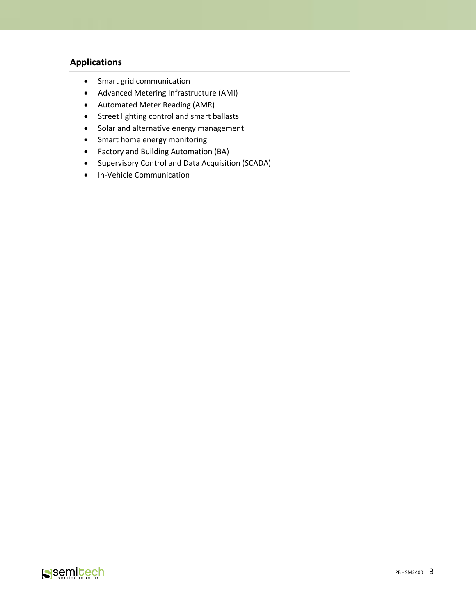## **Applications**

- Smart grid communication
- Advanced Metering Infrastructure (AMI)
- Automated Meter Reading (AMR)
- Street lighting control and smart ballasts
- Solar and alternative energy management
- Smart home energy monitoring
- Factory and Building Automation (BA)
- Supervisory Control and Data Acquisition (SCADA)
- In-Vehicle Communication

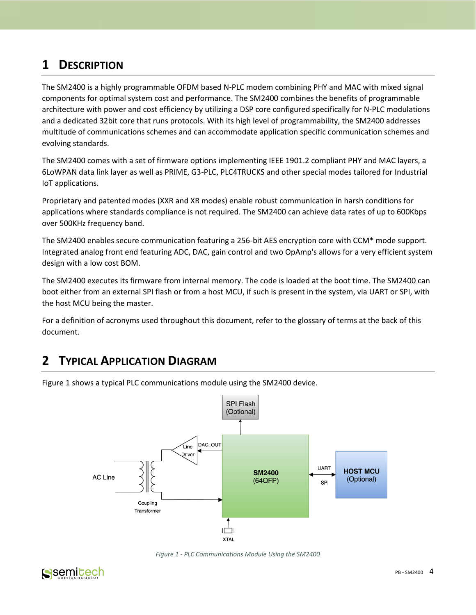## **1 DESCRIPTION**

The SM2400 is a highly programmable OFDM based N-PLC modem combining PHY and MAC with mixed signal components for optimal system cost and performance. The SM2400 combines the benefits of programmable architecture with power and cost efficiency by utilizing a DSP core configured specifically for N-PLC modulations and a dedicated 32bit core that runs protocols. With its high level of programmability, the SM2400 addresses multitude of communications schemes and can accommodate application specific communication schemes and evolving standards.

The SM2400 comes with a set of firmware options implementing IEEE 1901.2 compliant PHY and MAC layers, a 6LoWPAN data link layer as well as PRIME, G3-PLC, PLC4TRUCKS and other special modes tailored for Industrial IoT applications.

Proprietary and patented modes (XXR and XR modes) enable robust communication in harsh conditions for applications where standards compliance is not required. The SM2400 can achieve data rates of up to 600Kbps over 500KHz frequency band.

The SM2400 enables secure communication featuring a 256-bit AES encryption core with CCM\* mode support. Integrated analog front end featuring ADC, DAC, gain control and two OpAmp's allows for a very efficient system design with a low cost BOM.

The SM2400 executes its firmware from internal memory. The code is loaded at the boot time. The SM2400 can boot either from an external SPI flash or from a host MCU, if such is present in the system, via UART or SPI, with the host MCU being the master.

For a definition of acronyms used throughout this document, refer to the glossary of terms at the back of this document.

## **2 TYPICAL APPLICATION DIAGRAM**

[Figure 1](#page-3-0) shows a typical PLC communications module using the SM2400 device.



*Figure 1 - PLC Communications Module Using the SM2400*

<span id="page-3-0"></span>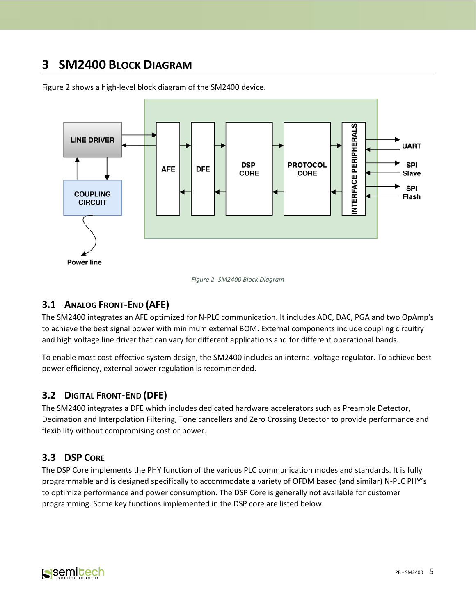## **3 SM2400 BLOCK DIAGRAM**



[Figure 2](#page-4-0) shows a high-level block diagram of the SM2400 device.



### <span id="page-4-0"></span>**3.1 ANALOG FRONT-END (AFE)**

The SM2400 integrates an AFE optimized for N-PLC communication. It includes ADC, DAC, PGA and two OpAmp's to achieve the best signal power with minimum external BOM. External components include coupling circuitry and high voltage line driver that can vary for different applications and for different operational bands.

To enable most cost-effective system design, the SM2400 includes an internal voltage regulator. To achieve best power efficiency, external power regulation is recommended.

### **3.2 DIGITAL FRONT-END (DFE)**

The SM2400 integrates a DFE which includes dedicated hardware accelerators such as Preamble Detector, Decimation and Interpolation Filtering, Tone cancellers and Zero Crossing Detector to provide performance and flexibility without compromising cost or power.

## **3.3 DSP CORE**

The DSP Core implements the PHY function of the various PLC communication modes and standards. It is fully programmable and is designed specifically to accommodate a variety of OFDM based (and similar) N-PLC PHY's to optimize performance and power consumption. The DSP Core is generally not available for customer programming. Some key functions implemented in the DSP core are listed below.

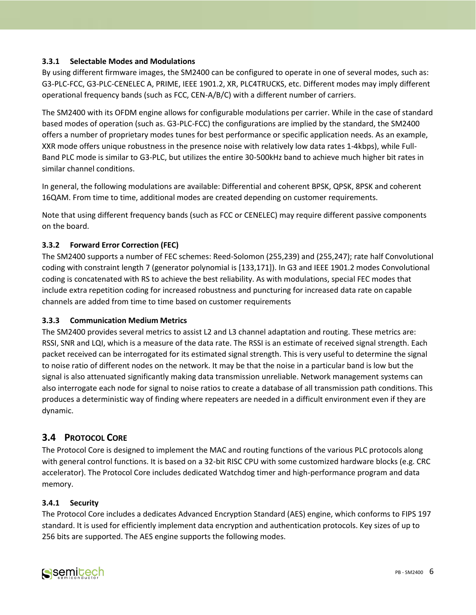### **3.3.1 Selectable Modes and Modulations**

By using different firmware images, the SM2400 can be configured to operate in one of several modes, such as: G3-PLC-FCC, G3-PLC-CENELEC A, PRIME, IEEE 1901.2, XR, PLC4TRUCKS, etc. Different modes may imply different operational frequency bands (such as FCC, CEN-A/B/C) with a different number of carriers.

The SM2400 with its OFDM engine allows for configurable modulations per carrier. While in the case of standard based modes of operation (such as. G3-PLC-FCC) the configurations are implied by the standard, the SM2400 offers a number of proprietary modes tunes for best performance or specific application needs. As an example, XXR mode offers unique robustness in the presence noise with relatively low data rates 1-4kbps), while Full-Band PLC mode is similar to G3-PLC, but utilizes the entire 30-500kHz band to achieve much higher bit rates in similar channel conditions.

In general, the following modulations are available: Differential and coherent BPSK, QPSK, 8PSK and coherent 16QAM. From time to time, additional modes are created depending on customer requirements.

Note that using different frequency bands (such as FCC or CENELEC) may require different passive components on the board.

### **3.3.2 Forward Error Correction (FEC)**

The SM2400 supports a number of FEC schemes: Reed-Solomon (255,239) and (255,247); rate half Convolutional coding with constraint length 7 (generator polynomial is [133,171]). In G3 and IEEE 1901.2 modes Convolutional coding is concatenated with RS to achieve the best reliability. As with modulations, special FEC modes that include extra repetition coding for increased robustness and puncturing for increased data rate on capable channels are added from time to time based on customer requirements

#### **3.3.3 Communication Medium Metrics**

The SM2400 provides several metrics to assist L2 and L3 channel adaptation and routing. These metrics are: RSSI, SNR and LQI, which is a measure of the data rate. The RSSI is an estimate of received signal strength. Each packet received can be interrogated for its estimated signal strength. This is very useful to determine the signal to noise ratio of different nodes on the network. It may be that the noise in a particular band is low but the signal is also attenuated significantly making data transmission unreliable. Network management systems can also interrogate each node for signal to noise ratios to create a database of all transmission path conditions. This produces a deterministic way of finding where repeaters are needed in a difficult environment even if they are dynamic.

### **3.4 PROTOCOL CORE**

The Protocol Core is designed to implement the MAC and routing functions of the various PLC protocols along with general control functions. It is based on a 32-bit RISC CPU with some customized hardware blocks (e.g. CRC accelerator). The Protocol Core includes dedicated Watchdog timer and high-performance program and data memory.

#### **3.4.1 Security**

The Protocol Core includes a dedicates Advanced Encryption Standard (AES) engine, which conforms to FIPS 197 standard. It is used for efficiently implement data encryption and authentication protocols. Key sizes of up to 256 bits are supported. The AES engine supports the following modes.

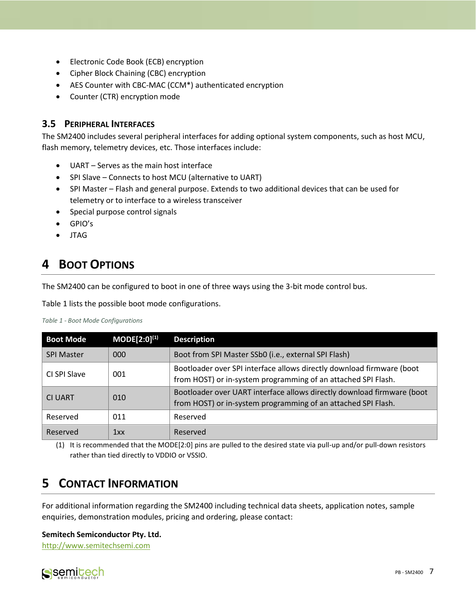- Electronic Code Book (ECB) encryption
- Cipher Block Chaining (CBC) encryption
- AES Counter with CBC-MAC (CCM\*) authenticated encryption
- Counter (CTR) encryption mode

### **3.5 PERIPHERAL INTERFACES**

The SM2400 includes several peripheral interfaces for adding optional system components, such as host MCU, flash memory, telemetry devices, etc. Those interfaces include:

- UART Serves as the main host interface
- SPI Slave Connects to host MCU (alternative to UART)
- SPI Master Flash and general purpose. Extends to two additional devices that can be used for telemetry or to interface to a wireless transceiver
- Special purpose control signals
- GPIO's
- JTAG

## **4 BOOT OPTIONS**

The SM2400 can be configured to boot in one of three ways using the 3-bit mode control bus.

[Table 1](#page-6-0) lists the possible boot mode configurations.

<span id="page-6-0"></span>*Table 1 - Boot Mode Configurations*

| <b>Boot Mode</b>  | $MODE[2:0]^{(1)}$ | <b>Description</b>                                                                                                                      |  |
|-------------------|-------------------|-----------------------------------------------------------------------------------------------------------------------------------------|--|
| <b>SPI Master</b> | 000               | Boot from SPI Master SSb0 (i.e., external SPI Flash)                                                                                    |  |
| CI SPI Slave      | 001               | Bootloader over SPI interface allows directly download firmware (boot<br>from HOST) or in-system programming of an attached SPI Flash.  |  |
| <b>CI UART</b>    | 010               | Bootloader over UART interface allows directly download firmware (boot<br>from HOST) or in-system programming of an attached SPI Flash. |  |
| Reserved          | 011               | Reserved                                                                                                                                |  |
| Reserved          | 1xx               | Reserved                                                                                                                                |  |

(1) It is recommended that the MODE[2:0] pins are pulled to the desired state via pull-up and/or pull-down resistors rather than tied directly to VDDIO or VSSIO.

## **5 CONTACT INFORMATION**

For additional information regarding the SM2400 including technical data sheets, application notes, sample enquiries, demonstration modules, pricing and ordering, please contact:

#### **Semitech Semiconductor Pty. Ltd.**

[http://www.semitechsemi.com](http://www.semitechsemi.com/)

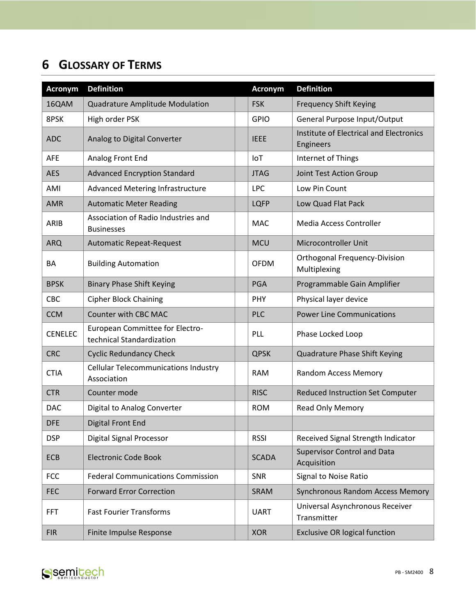# **6 GLOSSARY OF TERMS**

| <b>Acronym</b> | <b>Definition</b>                                            | <b>Acronym</b> | <b>Definition</b>                                    |
|----------------|--------------------------------------------------------------|----------------|------------------------------------------------------|
| 16QAM          | Quadrature Amplitude Modulation                              | <b>FSK</b>     | <b>Frequency Shift Keying</b>                        |
| 8PSK           | High order PSK                                               | <b>GPIO</b>    | General Purpose Input/Output                         |
| <b>ADC</b>     | Analog to Digital Converter                                  | <b>IEEE</b>    | Institute of Electrical and Electronics<br>Engineers |
| <b>AFE</b>     | Analog Front End                                             | IoT            | Internet of Things                                   |
| <b>AES</b>     | <b>Advanced Encryption Standard</b>                          | <b>JTAG</b>    | Joint Test Action Group                              |
| AMI            | Advanced Metering Infrastructure                             | <b>LPC</b>     | Low Pin Count                                        |
| <b>AMR</b>     | <b>Automatic Meter Reading</b>                               | <b>LQFP</b>    | Low Quad Flat Pack                                   |
| ARIB           | Association of Radio Industries and<br><b>Businesses</b>     | <b>MAC</b>     | <b>Media Access Controller</b>                       |
| <b>ARQ</b>     | <b>Automatic Repeat-Request</b>                              | <b>MCU</b>     | Microcontroller Unit                                 |
| BA             | <b>Building Automation</b>                                   | <b>OFDM</b>    | <b>Orthogonal Frequency-Division</b><br>Multiplexing |
| <b>BPSK</b>    | <b>Binary Phase Shift Keying</b>                             | <b>PGA</b>     | Programmable Gain Amplifier                          |
| <b>CBC</b>     | <b>Cipher Block Chaining</b>                                 | PHY            | Physical layer device                                |
| <b>CCM</b>     | Counter with CBC MAC                                         | <b>PLC</b>     | <b>Power Line Communications</b>                     |
| <b>CENELEC</b> | European Committee for Electro-<br>technical Standardization | PLL            | Phase Locked Loop                                    |
| <b>CRC</b>     | <b>Cyclic Redundancy Check</b>                               | <b>QPSK</b>    | Quadrature Phase Shift Keying                        |
| <b>CTIA</b>    | <b>Cellular Telecommunications Industry</b><br>Association   | <b>RAM</b>     | <b>Random Access Memory</b>                          |
| <b>CTR</b>     | Counter mode                                                 | <b>RISC</b>    | Reduced Instruction Set Computer                     |
| <b>DAC</b>     | Digital to Analog Converter                                  | <b>ROM</b>     | Read Only Memory                                     |
| <b>DFE</b>     | Digital Front End                                            |                |                                                      |
| <b>DSP</b>     | Digital Signal Processor                                     | <b>RSSI</b>    | Received Signal Strength Indicator                   |
| ECB            | <b>Electronic Code Book</b>                                  | <b>SCADA</b>   | <b>Supervisor Control and Data</b><br>Acquisition    |
| <b>FCC</b>     | <b>Federal Communications Commission</b>                     | SNR            | Signal to Noise Ratio                                |
| <b>FEC</b>     | <b>Forward Error Correction</b>                              | <b>SRAM</b>    | Synchronous Random Access Memory                     |
| <b>FFT</b>     | <b>Fast Fourier Transforms</b>                               | <b>UART</b>    | Universal Asynchronous Receiver<br>Transmitter       |
| <b>FIR</b>     | Finite Impulse Response                                      | <b>XOR</b>     | <b>Exclusive OR logical function</b>                 |